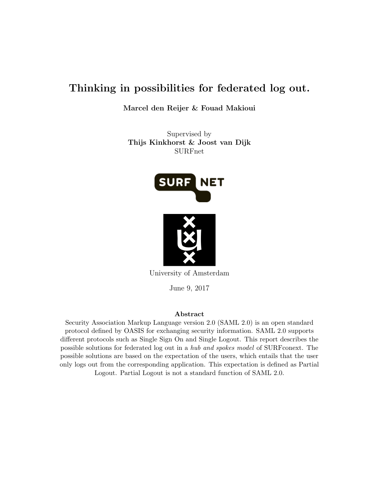# Thinking in possibilities for federated log out.

Marcel den Reijer & Fouad Makioui

Supervised by Thijs Kinkhorst & Joost van Dijk SURFnet



University of Amsterdam

June 9, 2017

#### Abstract

Security Association Markup Language version 2.0 (SAML 2.0) is an open standard protocol defined by OASIS for exchanging security information. SAML 2.0 supports different protocols such as Single Sign On and Single Logout. This report describes the possible solutions for federated log out in a hub and spokes model of SURFconext. The possible solutions are based on the expectation of the users, which entails that the user only logs out from the corresponding application. This expectation is defined as Partial Logout. Partial Logout is not a standard function of SAML 2.0.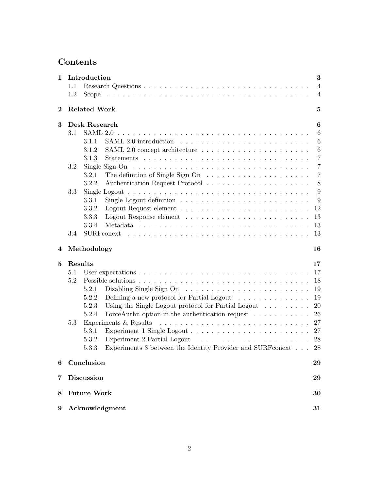# Contents

| $\mathbf{1}$ | Introduction                                                                                                | $\bf{3}$        |  |  |
|--------------|-------------------------------------------------------------------------------------------------------------|-----------------|--|--|
|              | 1.1                                                                                                         | $\overline{4}$  |  |  |
|              | 1.2                                                                                                         | $\overline{4}$  |  |  |
| $\bf{2}$     | <b>Related Work</b>                                                                                         |                 |  |  |
| 3            | Desk Research                                                                                               | 6               |  |  |
|              | 3.1                                                                                                         | $6\phantom{.}6$ |  |  |
|              | 3.1.1                                                                                                       | $6\phantom{.}6$ |  |  |
|              | 3.1.2                                                                                                       | $6\phantom{.}6$ |  |  |
|              | 3.1.3                                                                                                       | $\overline{7}$  |  |  |
|              | 3.2<br>Single Sign On $\dots \dots \dots \dots \dots \dots \dots \dots \dots \dots \dots \dots \dots \dots$ | $\overline{7}$  |  |  |
|              | The definition of Single Sign On $\dots \dots \dots \dots \dots \dots \dots$<br>3.2.1                       | $\overline{7}$  |  |  |
|              | 3.2.2                                                                                                       | $8\,$           |  |  |
|              | 3.3<br>Single Logout $\ldots \ldots \ldots \ldots \ldots \ldots \ldots \ldots \ldots \ldots \ldots \ldots$  | 9               |  |  |
|              | Single Logout definition $\ldots \ldots \ldots \ldots \ldots \ldots \ldots \ldots$<br>3.3.1                 | 9               |  |  |
|              | 3.3.2                                                                                                       | 12              |  |  |
|              | 3.3.3                                                                                                       | 13              |  |  |
|              | 3.3.4                                                                                                       | 13              |  |  |
|              | 3.4                                                                                                         | 13              |  |  |
| 4            | Methodology<br>16                                                                                           |                 |  |  |
| 5            | Results                                                                                                     | 17              |  |  |
|              | 5.1                                                                                                         | 17              |  |  |
|              | 5.2                                                                                                         | 18              |  |  |
|              | Disabling Single Sign $On \ldots \ldots \ldots \ldots \ldots \ldots \ldots$<br>5.2.1                        | 19              |  |  |
|              | Defining a new protocol for Partial Logout $\dots \dots \dots \dots \dots$<br>5.2.2                         | 19              |  |  |
|              | Using the Single Logout protocol for Partial Logout $\dots \dots$<br>5.2.3                                  | 20              |  |  |
|              | ForceAuthn option in the authentication request $\dots \dots \dots$<br>5.2.4                                | 26              |  |  |
|              | Experiments & Results<br>5.3                                                                                | 27              |  |  |
|              | 5.3.1                                                                                                       | 27              |  |  |
|              | 5.3.2                                                                                                       | 28              |  |  |
|              | Experiments 3 between the Identity Provider and SURF<br>conext $\hfill\ldots$<br>5.3.3                      | 28              |  |  |
| 6            | Conclusion                                                                                                  | 29              |  |  |
| 7            | <b>Discussion</b>                                                                                           |                 |  |  |
|              |                                                                                                             | 29              |  |  |
| 8            | <b>Future Work</b>                                                                                          | 30              |  |  |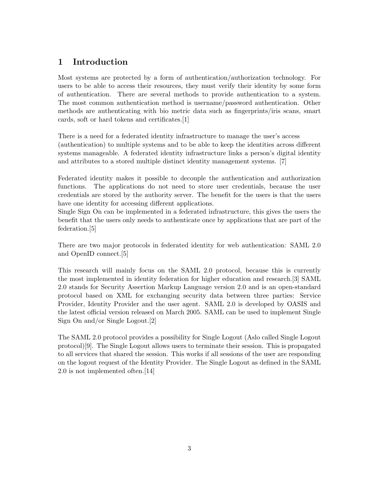## <span id="page-2-0"></span>1 Introduction

Most systems are protected by a form of authentication/authorization technology. For users to be able to access their resources, they must verify their identity by some form of authentication. There are several methods to provide authentication to a system. The most common authentication method is username/password authentication. Other methods are authenticating with bio metric data such as fingerprints/iris scans, smart cards, soft or hard tokens and certificates.[\[1\]](#page-31-0)

There is a need for a federated identity infrastructure to manage the user's access (authentication) to multiple systems and to be able to keep the identities across different systems manageable. A federated identity infrastructure links a person's digital identity and attributes to a stored multiple distinct identity management systems. [\[7\]](#page-31-1)

Federated identity makes it possible to decouple the authentication and authorization functions. The applications do not need to store user credentials, because the user credentials are stored by the authority server. The benefit for the users is that the users have one identity for accessing different applications.

Single Sign On can be implemented in a federated infrastructure, this gives the users the benefit that the users only needs to authenticate once by applications that are part of the federation.[\[5\]](#page-31-2)

There are two major protocols in federated identity for web authentication: SAML 2.0 and OpenID connect.[\[5\]](#page-31-2)

This research will mainly focus on the SAML 2.0 protocol, because this is currently the most implemented in identity federation for higher education and research.[\[3\]](#page-31-3) SAML 2.0 stands for Security Assertion Markup Language version 2.0 and is an open-standard protocol based on XML for exchanging security data between three parties: Service Provider, Identity Provider and the user agent. SAML 2.0 is developed by OASIS and the latest official version released on March 2005. SAML can be used to implement Single Sign On and/or Single Logout.[\[2\]](#page-31-4)

The SAML 2.0 protocol provides a possibility for Single Logout (Aslo called Single Logout protocol)[\[9\]](#page-31-5). The Single Logout allows users to terminate their session. This is propagated to all services that shared the session. This works if all sessions of the user are responding on the logout request of the Identity Provider. The Single Logout as defined in the SAML 2.0 is not implemented often.[\[14\]](#page-31-6)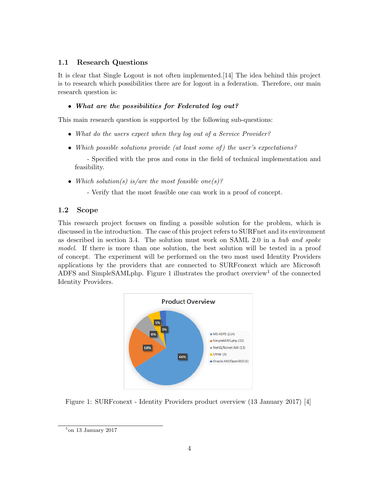## <span id="page-3-0"></span>1.1 Research Questions

It is clear that Single Logout is not often implemented.[\[14\]](#page-31-6) The idea behind this project is to research which possibilities there are for logout in a federation. Therefore, our main research question is:

### • What are the possibilities for Federated log out?

This main research question is supported by the following sub-questions:

- What do the users expect when they log out of a Service Provider?
- Which possible solutions provide (at least some of) the user's expectations?

- Specified with the pros and cons in the field of technical implementation and feasibility.

• Which solution(s) is/are the most feasible one(s)?

- Verify that the most feasible one can work in a proof of concept.

## <span id="page-3-1"></span>1.2 Scope

This research project focuses on finding a possible solution for the problem, which is discussed in the introduction. The case of this project refers to SURFnet and its environment as described in section [3.4.](#page-12-2) The solution must work on SAML 2.0 in a hub and spoke model. If there is more than one solution, the best solution will be tested in a proof of concept. The experiment will be performed on the two most used Identity Providers applications by the providers that are connected to SURFconext which are Microsoft ADFS and SimpleSAMLphp. Figure [1](#page-3-2) illustrates the product overview<sup>[1](#page-3-3)</sup> of the connected Identity Providers.

<span id="page-3-2"></span>

Figure 1: SURFconext - Identity Providers product overview (13 January 2017) [\[4\]](#page-31-7)

<span id="page-3-3"></span> $1$ on 13 January 2017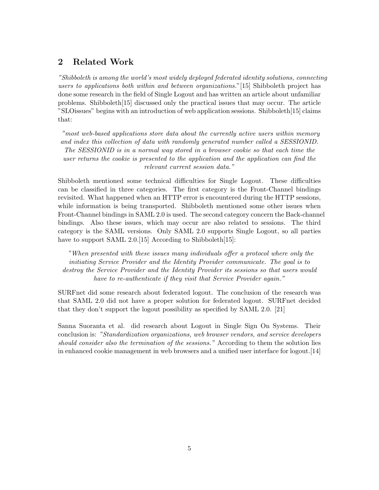## <span id="page-4-0"></span>2 Related Work

"Shibboleth is among the world's most widely deployed federated identity solutions, connecting users to applications both within and between organizations."[\[15\]](#page-31-8) Shibboleth project has done some research in the field of Single Logout and has written an article about unfamiliar problems. Shibboleth $[15]$  discussed only the practical issues that may occur. The article "SLOissues" begins with an introduction of web application sessions. Shibboleth[\[15\]](#page-31-8) claims that:

"most web-based applications store data about the currently active users within memory and index this collection of data with randomly generated number called a SESSIONID. The SESSIONID is in a normal way stored in a browser cookie so that each time the user returns the cookie is presented to the application and the application can find the relevant current session data."

Shibboleth mentioned some technical difficulties for Single Logout. These difficulties can be classified in three categories. The first category is the Front-Channel bindings revisited. What happened when an HTTP error is encountered during the HTTP sessions, while information is being transported. Shibboleth mentioned some other issues when Front-Channel bindings in SAML 2.0 is used. The second category concern the Back-channel bindings. Also these issues, which may occur are also related to sessions. The third category is the SAML versions. Only SAML 2.0 supports Single Logout, so all parties have to support SAML 2.0.[\[15\]](#page-31-8) According to Shibboleth[15]:

"When presented with these issues many individuals offer a protocol where only the initiating Service Provider and the Identity Provider communicate. The goal is to destroy the Service Provider and the Identity Provider its sessions so that users would have to re-authenticate if they visit that Service Provider again."

SURFnet did some research about federated logout. The conclusion of the research was that SAML 2.0 did not have a proper solution for federated logout. SURFnet decided that they don't support the logout possibility as specified by SAML 2.0. [\[21\]](#page-32-0)

Sanna Suoranta et al. did research about Logout in Single Sign On Systems. Their conclusion is: "Standardization organizations, web browser vendors, and service developers should consider also the termination of the sessions." According to them the solution lies in enhanced cookie management in web browsers and a unified user interface for logout.[\[14\]](#page-31-6)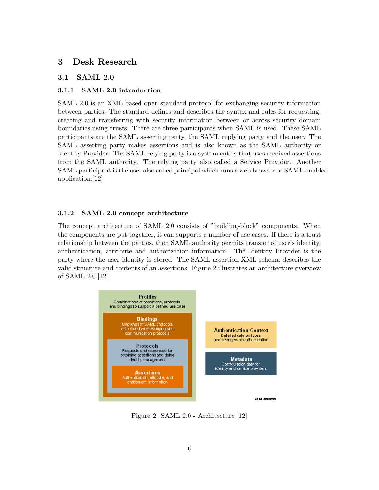## <span id="page-5-0"></span>3 Desk Research

#### <span id="page-5-1"></span>3.1 SAML 2.0

#### <span id="page-5-2"></span>3.1.1 SAML 2.0 introduction

SAML 2.0 is an XML based open-standard protocol for exchanging security information between parties. The standard defines and describes the syntax and rules for requesting, creating and transferring with security information between or across security domain boundaries using trusts. There are three participants when SAML is used. These SAML participants are the SAML asserting party, the SAML replying party and the user. The SAML asserting party makes assertions and is also known as the SAML authority or Identity Provider. The SAML relying party is a system entity that uses received assertions from the SAML authority. The relying party also called a Service Provider. Another SAML participant is the user also called principal which runs a web browser or SAML-enabled application.[\[12\]](#page-31-9)

#### <span id="page-5-3"></span>3.1.2 SAML 2.0 concept architecture

The concept architecture of SAML 2.0 consists of "building-block" components. When the components are put together, it can supports a number of use cases. If there is a trust relationship between the parties, then SAML authority permits transfer of user's identity, authentication, attribute and authorization information. The Identity Provider is the party where the user identity is stored. The SAML assertion XML schema describes the valid structure and contents of an assertions. Figure [2](#page-5-4) illustrates an architecture overview of SAML 2.0.[\[12\]](#page-31-9)



<span id="page-5-4"></span>Figure 2: SAML 2.0 - Architecture [\[12\]](#page-31-9)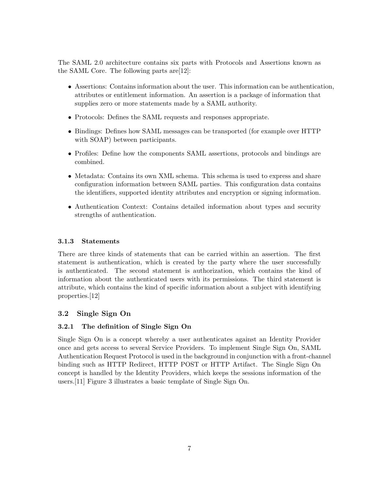The SAML 2.0 architecture contains six parts with Protocols and Assertions known as the SAML Core. The following parts are[\[12\]](#page-31-9):

- Assertions: Contains information about the user. This information can be authentication, attributes or entitlement information. An assertion is a package of information that supplies zero or more statements made by a SAML authority.
- Protocols: Defines the SAML requests and responses appropriate.
- Bindings: Defines how SAML messages can be transported (for example over HTTP with SOAP) between participants.
- Profiles: Define how the components SAML assertions, protocols and bindings are combined.
- Metadata: Contains its own XML schema. This schema is used to express and share configuration information between SAML parties. This configuration data contains the identifiers, supported identity attributes and encryption or signing information.
- Authentication Context: Contains detailed information about types and security strengths of authentication.

### <span id="page-6-0"></span>3.1.3 Statements

There are three kinds of statements that can be carried within an assertion. The first statement is authentication, which is created by the party where the user successfully is authenticated. The second statement is authorization, which contains the kind of information about the authenticated users with its permissions. The third statement is attribute, which contains the kind of specific information about a subject with identifying properties.[\[12\]](#page-31-9)

## <span id="page-6-1"></span>3.2 Single Sign On

## <span id="page-6-2"></span>3.2.1 The definition of Single Sign On

Single Sign On is a concept whereby a user authenticates against an Identity Provider once and gets access to several Service Providers. To implement Single Sign On, SAML Authentication Request Protocol is used in the background in conjunction with a front-channel binding such as HTTP Redirect, HTTP POST or HTTP Artifact. The Single Sign On concept is handled by the Identity Providers, which keeps the sessions information of the users.[\[11\]](#page-31-10) Figure [3](#page-7-1) illustrates a basic template of Single Sign On.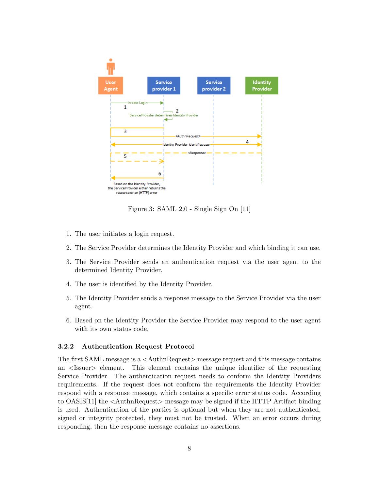

<span id="page-7-1"></span>Figure 3: SAML 2.0 - Single Sign On [\[11\]](#page-31-10)

- 1. The user initiates a login request.
- 2. The Service Provider determines the Identity Provider and which binding it can use.
- 3. The Service Provider sends an authentication request via the user agent to the determined Identity Provider.
- 4. The user is identified by the Identity Provider.
- 5. The Identity Provider sends a response message to the Service Provider via the user agent.
- 6. Based on the Identity Provider the Service Provider may respond to the user agent with its own status code.

#### <span id="page-7-0"></span>3.2.2 Authentication Request Protocol

The first SAML message is a <AuthnRequest> message request and this message contains an <Issuer> element. This element contains the unique identifier of the requesting Service Provider. The authentication request needs to conform the Identity Providers requirements. If the request does not conform the requirements the Identity Provider respond with a response message, which contains a specific error status code. According to OASIS[\[11\]](#page-31-10) the <AuthnRequest> message may be signed if the HTTP Artifact binding is used. Authentication of the parties is optional but when they are not authenticated, signed or integrity protected, they must not be trusted. When an error occurs during responding, then the response message contains no assertions.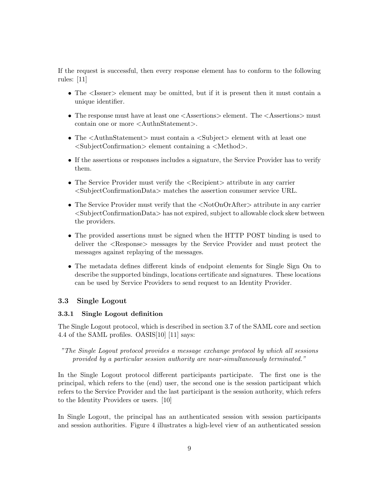If the request is successful, then every response element has to conform to the following rules: [\[11\]](#page-31-10)

- The  $\leq$ Issuer  $\geq$  element may be omitted, but if it is present then it must contain a unique identifier.
- The response must have at least one  $\langle$  Assertions $\rangle$  element. The  $\langle$  Assertions $\rangle$  must contain one or more <AuthnStatement>.
- The  $\lt$ AuthnStatement must contain a  $\lt$ Subject belement with at least one <SubjectConfirmation> element containing a <Method>.
- If the assertions or responses includes a signature, the Service Provider has to verify them.
- The Service Provider must verify the  $\langle\text{Recipient}\rangle$  attribute in any carrier <SubjectConfirmationData> matches the assertion consumer service URL.
- The Service Provider must verify that the  $\langle NotOnOrAfter| > attribute in any carrier$ <SubjectConfirmationData> has not expired, subject to allowable clock skew between the providers.
- The provided assertions must be signed when the HTTP POST binding is used to deliver the  $\langle$ Response $\rangle$  messages by the Service Provider and must protect the messages against replaying of the messages.
- The metadata defines different kinds of endpoint elements for Single Sign On to describe the supported bindings, locations certificate and signatures. These locations can be used by Service Providers to send request to an Identity Provider.

#### <span id="page-8-0"></span>3.3 Single Logout

#### <span id="page-8-1"></span>3.3.1 Single Logout definition

The Single Logout protocol, which is described in section 3.7 of the SAML core and section 4.4 of the SAML profiles. OASIS[\[10\]](#page-31-11) [\[11\]](#page-31-10) says:

"The Single Logout protocol provides a message exchange protocol by which all sessions provided by a particular session authority are near-simultaneously terminated."

In the Single Logout protocol different participants participate. The first one is the principal, which refers to the (end) user, the second one is the session participant which refers to the Service Provider and the last participant is the session authority, which refers to the Identity Providers or users. [\[10\]](#page-31-11)

In Single Logout, the principal has an authenticated session with session participants and session authorities. Figure [4](#page-9-0) illustrates a high-level view of an authenticated session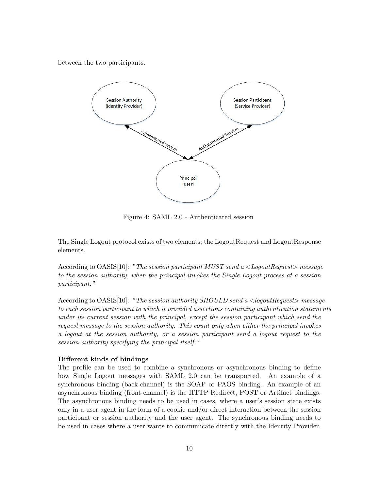between the two participants.



<span id="page-9-0"></span>Figure 4: SAML 2.0 - Authenticated session

The Single Logout protocol exists of two elements; the LogoutRequest and LogoutResponse elements.

According to OASIS[\[10\]](#page-31-11): "The session participant MUST send a  $\langle LogoutRequest \rangle$  message to the session authority, when the principal invokes the Single Logout process at a session participant."

According to OASIS[\[10\]](#page-31-11): "The session authority SHOULD send a <logoutRequest> message to each session participant to which it provided assertions containing authentication statements under its current session with the principal, except the session participant which send the request message to the session authority. This count only when either the principal invokes a logout at the session authority, or a session participant send a logout request to the session authority specifying the principal itself."

#### Different kinds of bindings

The profile can be used to combine a synchronous or asynchronous binding to define how Single Logout messages with SAML 2.0 can be transported. An example of a synchronous binding (back-channel) is the SOAP or PAOS binding. An example of an asynchronous binding (front-channel) is the HTTP Redirect, POST or Artifact bindings. The asynchronous binding needs to be used in cases, where a user's session state exists only in a user agent in the form of a cookie and/or direct interaction between the session participant or session authority and the user agent. The synchronous binding needs to be used in cases where a user wants to communicate directly with the Identity Provider.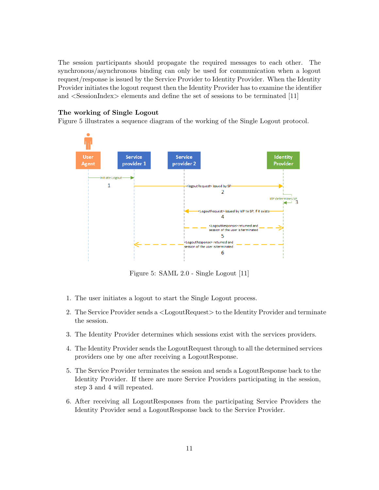The session participants should propagate the required messages to each other. The synchronous/asynchronous binding can only be used for communication when a logout request/response is issued by the Service Provider to Identity Provider. When the Identity Provider initiates the logout request then the Identity Provider has to examine the identifier and <SessionIndex> elements and define the set of sessions to be terminated [\[11\]](#page-31-10)

#### The working of Single Logout

Figure [5](#page-10-0) illustrates a sequence diagram of the working of the Single Logout protocol.



<span id="page-10-0"></span>Figure 5: SAML 2.0 - Single Logout [\[11\]](#page-31-10)

- 1. The user initiates a logout to start the Single Logout process.
- 2. The Service Provider sends a <LogoutRequest> to the Identity Provider and terminate the session.
- 3. The Identity Provider determines which sessions exist with the services providers.
- 4. The Identity Provider sends the LogoutRequest through to all the determined services providers one by one after receiving a LogoutResponse.
- 5. The Service Provider terminates the session and sends a LogoutResponse back to the Identity Provider. If there are more Service Providers participating in the session, step 3 and 4 will repeated.
- 6. After receiving all LogoutResponses from the participating Service Providers the Identity Provider send a LogoutResponse back to the Service Provider.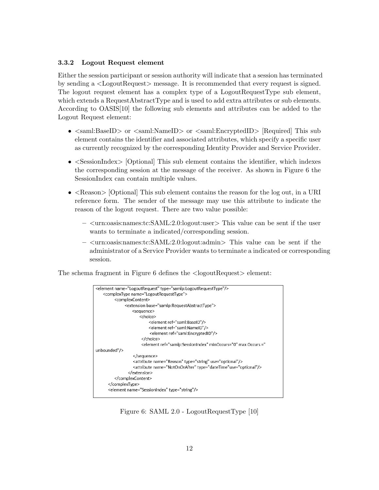#### <span id="page-11-0"></span>3.3.2 Logout Request element

Either the session participant or session authority will indicate that a session has terminated by sending a <LogoutRequest> message. It is recommended that every request is signed. The logout request element has a complex type of a LogoutRequestType sub element, which extends a RequestAbstractType and is used to add extra attributes or sub elements. According to OASIS[\[10\]](#page-31-11) the following sub elements and attributes can be added to the Logout Request element:

- $\leq$  saml:BaseID $>$  or  $\leq$ saml:NameID $>$  or  $\leq$ saml:EncryptedID $>$  [Required] This sub element contains the identifier and associated attributes, which specify a specific user as currently recognized by the corresponding Identity Provider and Service Provider.
- $\leq$ SessionIndex> [Optional] This sub element contains the identifier, which indexes the corresponding session at the message of the receiver. As shown in Figure [6](#page-11-1) the SessionIndex can contain multiple values.
- $\leq$  Reason  $\geq$  [Optional] This sub element contains the reason for the log out, in a URI reference form. The sender of the message may use this attribute to indicate the reason of the logout request. There are two value possible:
	- <urn:oasis:names:tc:SAML:2.0:logout:user> This value can be sent if the user wants to terminate a indicated/corresponding session.
	- $\langle$ urn:oasis:names:tc:SAML:2.0:logout:admin $>$ This value can be sent if the administrator of a Service Provider wants to terminate a indicated or corresponding session.

The schema fragment in Figure [6](#page-11-1) defines the  $\langle$ logoutRequest $\rangle$  element:



<span id="page-11-1"></span>Figure 6: SAML 2.0 - LogoutRequestType [\[10\]](#page-31-11)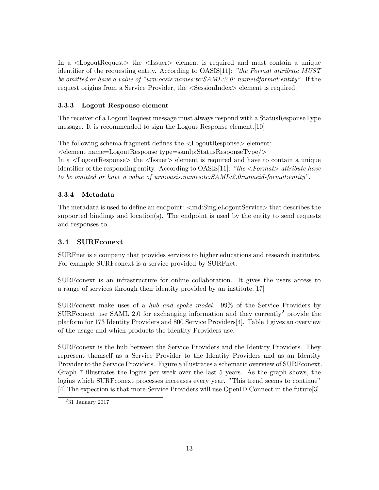In a <LogoutRequest> the <Issuer> element is required and must contain a unique identifier of the requesting entity. According to OASIS[\[11\]](#page-31-10): "the Format attribute MUST be omitted or have a value of "urn:oasis:names:tc:SAML:2.0:-nameidformat:entity". If the request origins from a Service Provider, the <SessionIndex> element is required.

### <span id="page-12-0"></span>3.3.3 Logout Response element

The receiver of a LogoutRequest message must always respond with a StatusResponseType message. It is recommended to sign the Logout Response element.[\[10\]](#page-31-11)

The following schema fragment defines the <LogoutResponse> element: <element name=LogoutResponse type=samlp:StatusResponseType/> In a <LogoutResponse> the <Issuer> element is required and have to contain a unique identifier of the responding entity. According to  $OASIS[11]$  $OASIS[11]$ : "the  $\leq$  Format $>$  attribute have to be omitted or have a value of urn:oasis:names:tc:SAML:2.0:nameid-format:entity".

## <span id="page-12-1"></span>3.3.4 Metadata

The metadata is used to define an endpoint:  $\langle \text{md:SingleLogoutService> that describes the} \rangle$ supported bindings and location(s). The endpoint is used by the entity to send requests and responses to.

## <span id="page-12-2"></span>3.4 SURFconext

SURFnet is a company that provides services to higher educations and research institutes. For example SURF conext is a service provided by SURFnet.

SURFconext is an infrastructure for online collaboration. It gives the users access to a range of services through their identity provided by an institute.[\[17\]](#page-32-1)

SURFconext make uses of a hub and spoke model. 99% of the Service Providers by SURF conext use SAML [2](#page-12-3).0 for exchanging information and they currently<sup>2</sup> provide the platform for 173 Identity Providers and 800 Service Providers[\[4\]](#page-31-7). Table [1](#page-14-0) gives an overview of the usage and which products the Identity Providers use.

SURFconext is the hub between the Service Providers and the Identity Providers. They represent themself as a Service Provider to the Identity Providers and as an Identity Provider to the Service Providers. Figure [8](#page-13-0) illustrates a schematic overview of SURFconext. Graph [7](#page-13-1) illustrates the logins per week over the last 5 years. As the graph shows, the logins which SURFconext processes increases every year. "This trend seems to continue" [\[4\]](#page-31-7) The expection is that more Service Providers will use OpenID Connect in the future[\[3\]](#page-31-3).

<span id="page-12-3"></span><sup>2</sup> 31 January 2017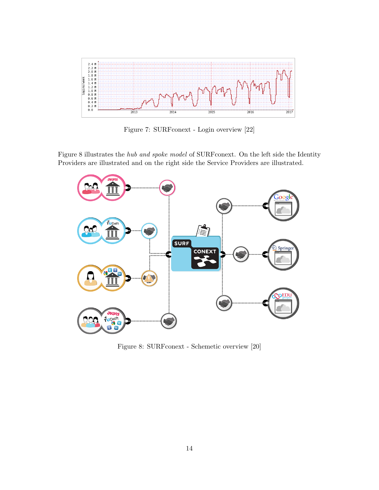

<span id="page-13-1"></span>Figure 7: SURFconext - Login overview [\[22\]](#page-32-2)

Figure [8](#page-13-0) illustrates the hub and spoke model of SURFconext. On the left side the Identity Providers are illustrated and on the right side the Service Providers are illustrated.



<span id="page-13-0"></span>Figure 8: SURFconext - Schemetic overview [\[20\]](#page-32-3)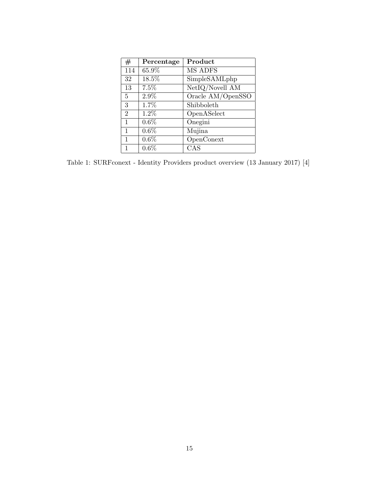<span id="page-14-0"></span>

| #              | Percentage | Product           |
|----------------|------------|-------------------|
| 114            | 65.9%      | MS ADFS           |
| 32             | 18.5%      | SimpleSAMLphp     |
| 13             | 7.5%       | NetIQ/Novell AM   |
| 5              | 2.9%       | Oracle AM/OpenSSO |
| 3              | 1.7%       | Shibboleth        |
| $\overline{2}$ | 1.2%       | OpenASelect       |
| 1              | $0.6\%$    | Onegini           |
| 1              | $0.6\%$    | Mujina            |
| 1              | 0.6%       | OpenConext        |
| 1              | 0.6%       | CAS               |

Table 1: SURFconext - Identity Providers product overview (13 January 2017) [\[4\]](#page-31-7)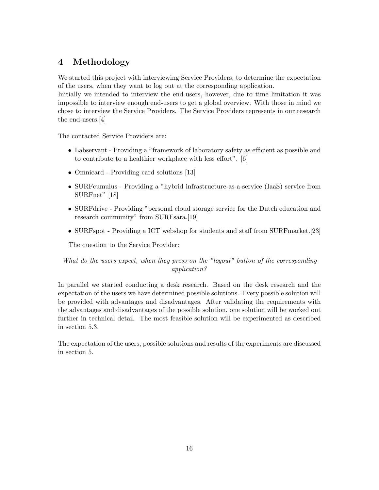## <span id="page-15-0"></span>4 Methodology

We started this project with interviewing Service Providers, to determine the expectation of the users, when they want to log out at the corresponding application.

Initially we intended to interview the end-users, however, due to time limitation it was impossible to interview enough end-users to get a global overview. With those in mind we chose to interview the Service Providers. The Service Providers represents in our research the end-users.[\[4\]](#page-31-7)

The contacted Service Providers are:

- Labservant Providing a "framework of laboratory safety as efficient as possible and to contribute to a healthier workplace with less effort". [\[6\]](#page-31-12)
- Omnicard Providing card solutions [\[13\]](#page-31-13)
- SURFcumulus Providing a "hybrid infrastructure-as-a-service (IaaS) service from SURFnet" [\[18\]](#page-32-4)
- SURFdrive Providing "personal cloud storage service for the Dutch education and research community" from SURFsara.[\[19\]](#page-32-5)
- SURFspot Providing a ICT webshop for students and staff from SURFmarket.[\[23\]](#page-32-6)

The question to the Service Provider:

## What do the users expect, when they press on the "logout" button of the corresponding application?

In parallel we started conducting a desk research. Based on the desk research and the expectation of the users we have determined possible solutions. Every possible solution will be provided with advantages and disadvantages. After validating the requirements with the advantages and disadvantages of the possible solution, one solution will be worked out further in technical detail. The most feasible solution will be experimented as described in section [5.3.](#page-26-0)

The expectation of the users, possible solutions and results of the experiments are discussed in section [5.](#page-16-0)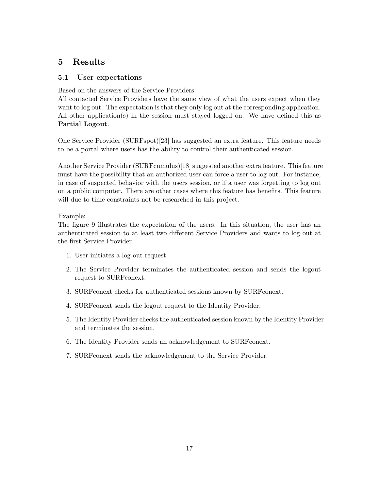## <span id="page-16-0"></span>5 Results

## <span id="page-16-1"></span>5.1 User expectations

Based on the answers of the Service Providers:

All contacted Service Providers have the same view of what the users expect when they want to log out. The expectation is that they only log out at the corresponding application. All other application(s) in the session must stayed logged on. We have defined this as Partial Logout.

One Service Provider (SURFspot)[\[23\]](#page-32-6) has suggested an extra feature. This feature needs to be a portal where users has the ability to control their authenticated session.

Another Service Provider (SURFcumulus)[\[18\]](#page-32-4) suggested another extra feature. This feature must have the possibility that an authorized user can force a user to log out. For instance, in case of suspected behavior with the users session, or if a user was forgetting to log out on a public computer. There are other cases where this feature has benefits. This feature will due to time constraints not be researched in this project.

## Example:

The figure [9](#page-17-1) illustrates the expectation of the users. In this situation, the user has an authenticated session to at least two different Service Providers and wants to log out at the first Service Provider.

- 1. User initiates a log out request.
- 2. The Service Provider terminates the authenticated session and sends the logout request to SURFconext.
- 3. SURFconext checks for authenticated sessions known by SURFconext.
- 4. SURFconext sends the logout request to the Identity Provider.
- 5. The Identity Provider checks the authenticated session known by the Identity Provider and terminates the session.
- 6. The Identity Provider sends an acknowledgement to SURFconext.
- 7. SURFconext sends the acknowledgement to the Service Provider.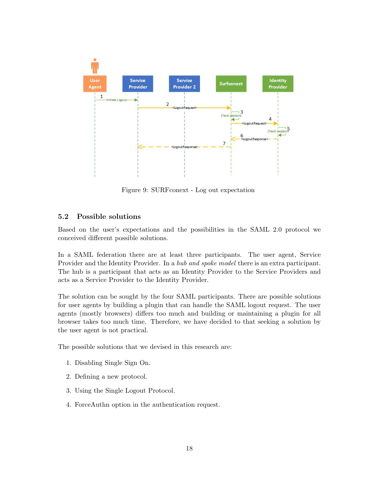

<span id="page-17-1"></span>Figure 9: SURFconext - Log out expectation

#### <span id="page-17-0"></span>5.2 Possible solutions

Based on the user's expectations and the possibilities in the SAML 2.0 protocol we conceived different possible solutions.

In a SAML federation there are at least three participants. The user agent, Service Provider and the Identity Provider. In a hub and spoke model there is an extra participant. The hub is a participant that acts as an Identity Provider to the Service Providers and acts as a Service Provider to the Identity Provider.

The solution can be sought by the four SAML participants. There are possible solutions for user agents by building a plugin that can handle the SAML logout request. The user agents (mostly browsers) differs too much and building or maintaining a plugin for all browser takes too much time. Therefore, we have decided to that seeking a solution by the user agent is not practical.

The possible solutions that we devised in this research are:

- 1. Disabling Single Sign On.
- 2. Defining a new protocol.
- 3. Using the Single Logout Protocol.
- 4. ForceAuthn option in the authentication request.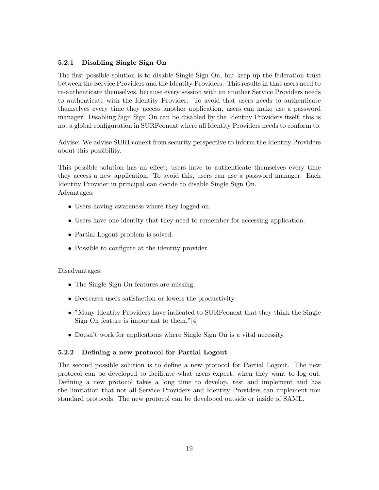#### <span id="page-18-0"></span>5.2.1 Disabling Single Sign On

The first possible solution is to disable Single Sign On, but keep up the federation trust between the Service Providers and the Identity Providers. This results in that users need to re-authenticate themselves, because every session with an another Service Providers needs to authenticate with the Identity Provider. To avoid that users needs to authenticate themselves every time they access another application, users can make use a password manager. Disabling Sign Sign On can be disabled by the Identity Providers itself, this is not a global configuration in SURFconext where all Identity Providers needs to conform to.

Advise: We advise SURFconext from security perspective to inform the Identity Providers about this possibility.

This possible solution has an effect; users have to authenticate themselves every time they access a new application. To avoid this, users can use a password manager. Each Identity Provider in principal can decide to disable Single Sign On. Advantages:

- Users having awareness where they logged on.
- Users have one identity that they need to remember for accessing application.
- Partial Logout problem is solved.
- Possible to configure at the identity provider.

#### Disadvantages:

- The Single Sign On features are missing.
- Decreases users satisfaction or lowers the productivity.
- "Many Identity Providers have indicated to SURFconext that they think the Single Sign On feature is important to them."[\[4\]](#page-31-7)
- Doesn't work for applications where Single Sign On is a vital necessity.

#### <span id="page-18-1"></span>5.2.2 Defining a new protocol for Partial Logout

The second possible solution is to define a new protocol for Partial Logout. The new protocol can be developed to facilitate what users expect, when they want to log out. Defining a new protocol takes a long time to develop, test and implement and has the limitation that not all Service Providers and Identity Providers can implement non standard protocols. The new protocol can be developed outside or inside of SAML.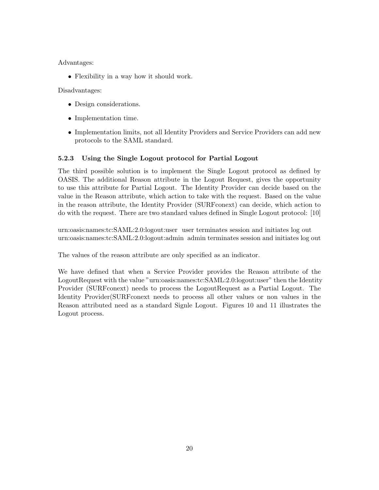Advantages:

• Flexibility in a way how it should work.

Disadvantages:

- Design considerations.
- Implementation time.
- Implementation limits, not all Identity Providers and Service Providers can add new protocols to the SAML standard.

## <span id="page-19-0"></span>5.2.3 Using the Single Logout protocol for Partial Logout

The third possible solution is to implement the Single Logout protocol as defined by OASIS. The additional Reason attribute in the Logout Request, gives the opportunity to use this attribute for Partial Logout. The Identity Provider can decide based on the value in the Reason attribute, which action to take with the request. Based on the value in the reason attribute, the Identity Provider (SURFconext) can decide, which action to do with the request. There are two standard values defined in Single Logout protocol: [\[10\]](#page-31-11)

urn:oasis:names:tc:SAML:2.0:logout:user user terminates session and initiates log out urn:oasis:names:tc:SAML:2.0:logout:admin admin terminates session and initiates log out

The values of the reason attribute are only specified as an indicator.

We have defined that when a Service Provider provides the Reason attribute of the LogoutRequest with the value "urn:oasis:names:tc:SAML:2.0:logout:user" then the Identity Provider (SURFconext) needs to process the LogoutRequest as a Partial Logout. The Identity Provider(SURFconext needs to process all other values or non values in the Reason attributed need as a standard Signle Logout. Figures [10](#page-20-0) and [11](#page-21-0) illustrates the Logout process.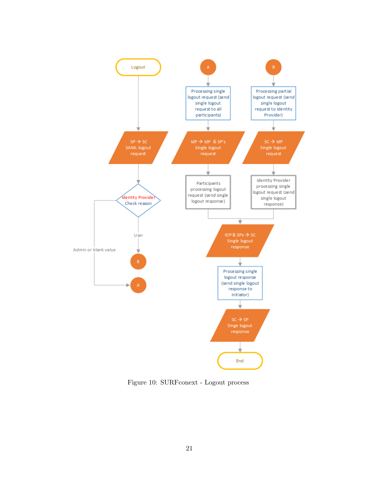

<span id="page-20-0"></span>Figure 10: SURFconext - Logout process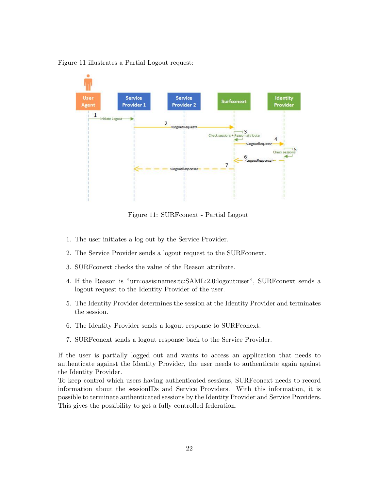



<span id="page-21-0"></span>Figure 11: SURFconext - Partial Logout

- 1. The user initiates a log out by the Service Provider.
- 2. The Service Provider sends a logout request to the SURFconext.
- 3. SURFconext checks the value of the Reason attribute.
- 4. If the Reason is "urn:oasis:names:tc:SAML:2.0:logout:user", SURFconext sends a logout request to the Identity Provider of the user.
- 5. The Identity Provider determines the session at the Identity Provider and terminates the session.
- 6. The Identity Provider sends a logout response to SURFconext.
- 7. SURFconext sends a logout response back to the Service Provider.

If the user is partially logged out and wants to access an application that needs to authenticate against the Identity Provider, the user needs to authenticate again against the Identity Provider.

To keep control which users having authenticated sessions, SURFconext needs to record information about the sessionIDs and Service Providers. With this information, it is possible to terminate authenticated sessions by the Identity Provider and Service Providers. This gives the possibility to get a fully controlled federation.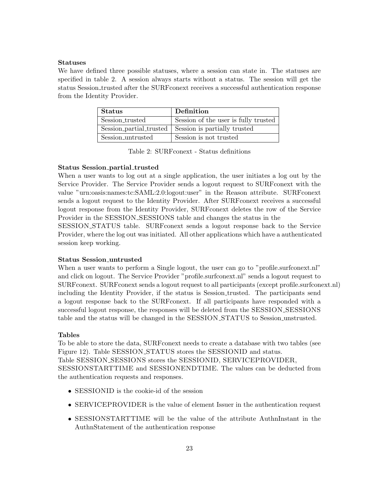#### Statuses

We have defined three possible statuses, where a session can state in. The statuses are specified in table [2.](#page-22-0) A session always starts without a status. The session will get the status Session trusted after the SURFconext receives a successful authentication response from the Identity Provider.

| Status            | Definition                                             |
|-------------------|--------------------------------------------------------|
| Session_trusted   | Session of the user is fully trusted                   |
|                   | Session_partial_trusted   Session is partially trusted |
| Session_untrusted | Session is not trusted                                 |

<span id="page-22-0"></span>Table 2: SURFconext - Status definitions

#### Status Session partial trusted

When a user wants to log out at a single application, the user initiates a log out by the Service Provider. The Service Provider sends a logout request to SURFconext with the value "urn:oasis:names:tc:SAML:2.0:logout:user" in the Reason attribute. SURFconext sends a logout request to the Identity Provider. After SURFconext receives a successful logout response from the Identity Provider, SURFconext deletes the row of the Service Provider in the SESSION\_SESSIONS table and changes the status in the SESSION STATUS table. SURFconext sends a logout response back to the Service Provider, where the log out was initiated. All other applications which have a authenticated session keep working.

#### Status Session untrusted

When a user wants to perform a Single logout, the user can go to "profile.surfconext.nl" and click on logout. The Service Provider "profile.surfconext.nl" sends a logout request to SURFconext. SURFconext sends a logout request to all participants (except profile.surfconext.nl) including the Identity Provider, if the status is Session trusted. The participants send a logout response back to the SURFconext. If all participants have responded with a successful logout response, the responses will be deleted from the SESSION SESSIONS table and the status will be changed in the SESSION STATUS to Session unstrusted.

#### Tables

To be able to store the data, SURFconext needs to create a database with two tables (see Figure [12\)](#page-23-0). Table SESSION STATUS stores the SESSIONID and status. Table SESSION SESSIONS stores the SESSIONID, SERVICEPROVIDER, SESSIONSTARTTIME and SESSIONENDTIME. The values can be deducted from the authentication requests and responses.

- SESSIONID is the cookie-id of the session
- SERVICEPROVIDER is the value of element Issuer in the authentication request
- SESSIONSTARTTIME will be the value of the attribute AuthnInstant in the AuthnStatement of the authentication response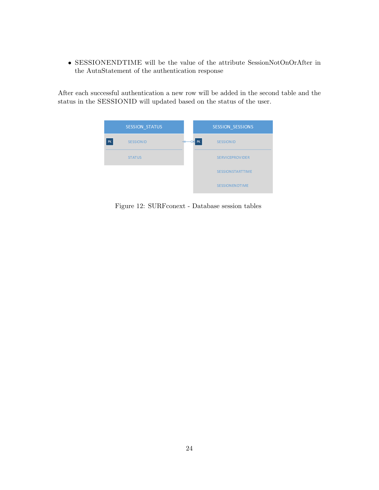• SESSIONENDTIME will be the value of the attribute SessionNotOnOrAfter in the AutnStatement of the authentication response

After each successful authentication a new row will be added in the second table and the status in the SESSIONID will updated based on the status of the user.

<span id="page-23-0"></span>

Figure 12: SURFconext - Database session tables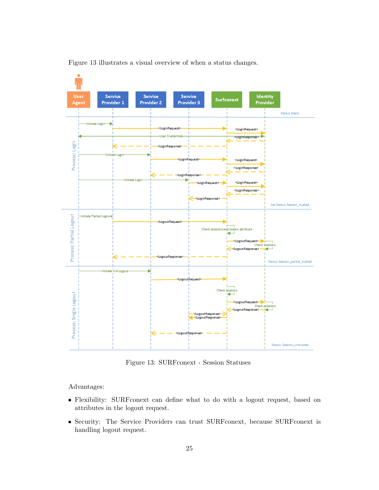

Figure [13](#page-24-0) illustrates a visual overview of when a status changes.

<span id="page-24-0"></span>Figure 13: SURFconext - Session Statuses

Advantages:

- Flexibility: SURFconext can define what to do with a logout request, based on attributes in the logout request.
- Security: The Service Providers can trust SURFconext, because SURFconext is handling logout request.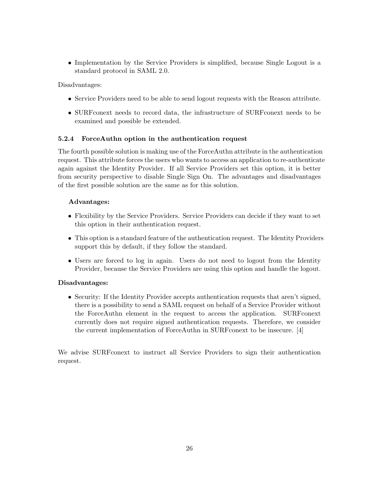• Implementation by the Service Providers is simplified, because Single Logout is a standard protocol in SAML 2.0.

Disadvantages:

- Service Providers need to be able to send logout requests with the Reason attribute.
- SURFconext needs to record data, the infrastructure of SURFconext needs to be examined and possible be extended.

#### <span id="page-25-0"></span>5.2.4 ForceAuthn option in the authentication request

The fourth possible solution is making use of the ForceAuthn attribute in the authentication request. This attribute forces the users who wants to access an application to re-authenticate again against the Identity Provider. If all Service Providers set this option, it is better from security perspective to disable Single Sign On. The advantages and disadvantages of the first possible solution are the same as for this solution.

#### Advantages:

- Flexibility by the Service Providers. Service Providers can decide if they want to set this option in their authentication request.
- This option is a standard feature of the authentication request. The Identity Providers support this by default, if they follow the standard.
- Users are forced to log in again. Users do not need to logout from the Identity Provider, because the Service Providers are using this option and handle the logout.

#### Disadvantages:

• Security: If the Identity Provider accepts authentication requests that aren't signed, there is a possibility to send a SAML request on behalf of a Service Provider without the ForceAuthn element in the request to access the application. SURFconext currently does not require signed authentication requests. Therefore, we consider the current implementation of ForceAuthn in SURFconext to be insecure. [\[4\]](#page-31-7)

We advise SURFconext to instruct all Service Providers to sign their authentication request.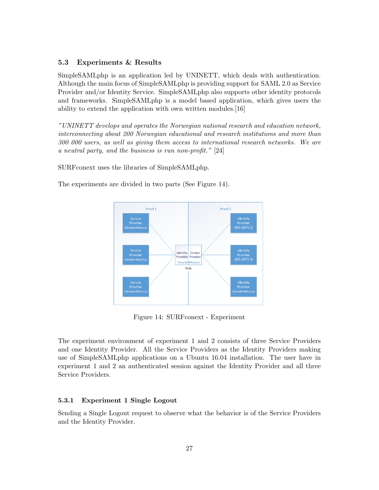#### <span id="page-26-0"></span>5.3 Experiments & Results

SimpleSAMLphp is an application led by UNINETT, which deals with authentication. Although the main focus of SimpleSAMLphp is providing support for SAML 2.0 as Service Provider and/or Identity Service. SimpleSAMLphp also supports other identity protocols and frameworks. SimpleSAMLphp is a model based application, which gives users the ability to extend the application with own written modules.[\[16\]](#page-31-14)

"UNINETT develops and operates the Norwegian national research and education network, interconnecting about 200 Norwegian educational and research institutions and more than 300 000 users, as well as giving them access to international research networks. We are a neutral party, and the business is run non-profit." [\[24\]](#page-32-7)

SURFconext uses the libraries of SimpleSAMLphp.

The experiments are divided in two parts (See Figure [14\)](#page-26-2).



<span id="page-26-2"></span>Figure 14: SURFconext - Experiment

The experiment environment of experiment 1 and 2 consists of three Service Providers and one Identity Provider. All the Service Providers as the Identity Providers making use of SimpleSAMLphp applications on a Ubuntu 16.04 installation. The user have in experiment 1 and 2 an authenticated session against the Identity Provider and all three Service Providers.

#### <span id="page-26-1"></span>5.3.1 Experiment 1 Single Logout

Sending a Single Logout request to observe what the behavior is of the Service Providers and the Identity Provider.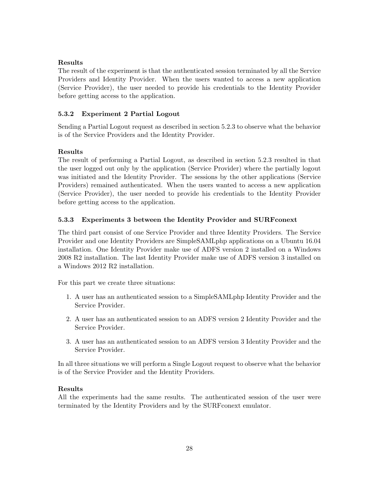### Results

The result of the experiment is that the authenticated session terminated by all the Service Providers and Identity Provider. When the users wanted to access a new application (Service Provider), the user needed to provide his credentials to the Identity Provider before getting access to the application.

## <span id="page-27-0"></span>5.3.2 Experiment 2 Partial Logout

Sending a Partial Logout request as described in section [5.2.3](#page-19-0) to observe what the behavior is of the Service Providers and the Identity Provider.

## Results

The result of performing a Partial Logout, as described in section [5.2.3](#page-19-0) resulted in that the user logged out only by the application (Service Provider) where the partially logout was initiated and the Identity Provider. The sessions by the other applications (Service Providers) remained authenticated. When the users wanted to access a new application (Service Provider), the user needed to provide his credentials to the Identity Provider before getting access to the application.

## <span id="page-27-1"></span>5.3.3 Experiments 3 between the Identity Provider and SURFconext

The third part consist of one Service Provider and three Identity Providers. The Service Provider and one Identity Providers are SimpleSAMLphp applications on a Ubuntu 16.04 installation. One Identity Provider make use of ADFS version 2 installed on a Windows 2008 R2 installation. The last Identity Provider make use of ADFS version 3 installed on a Windows 2012 R2 installation.

For this part we create three situations:

- 1. A user has an authenticated session to a SimpleSAMLphp Identity Provider and the Service Provider.
- 2. A user has an authenticated session to an ADFS version 2 Identity Provider and the Service Provider.
- 3. A user has an authenticated session to an ADFS version 3 Identity Provider and the Service Provider.

In all three situations we will perform a Single Logout request to observe what the behavior is of the Service Provider and the Identity Providers.

### Results

All the experiments had the same results. The authenticated session of the user were terminated by the Identity Providers and by the SURFconext emulator.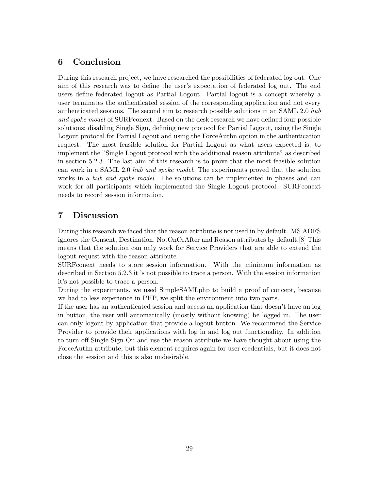## <span id="page-28-0"></span>6 Conclusion

During this research project, we have researched the possibilities of federated log out. One aim of this research was to define the user's expectation of federated log out. The end users define federated logout as Partial Logout. Partial logout is a concept whereby a user terminates the authenticated session of the corresponding application and not every authenticated sessions. The second aim to research possible solutions in an SAML 2.0 hub and spoke model of SURFconext. Based on the desk research we have defined four possible solutions; disabling Single Sign, defining new protocol for Partial Logout, using the Single Logout protocal for Partial Logout and using the ForceAuthn option in the authentication request. The most feasible solution for Partial Logout as what users expected is; to implement the "Single Logout protocol with the additional reason attribute" as described in section [5.2.3.](#page-19-0) The last aim of this research is to prove that the most feasible solution can work in a SAML 2.0 hub and spoke model. The experiments proved that the solution works in a hub and spoke model. The solutions can be implemented in phases and can work for all participants which implemented the Single Logout protocol. SURFconext needs to record session information.

## <span id="page-28-1"></span>7 Discussion

During this research we faced that the reason attribute is not used in by default. MS ADFS ignores the Consent, Destination, NotOnOrAfter and Reason attributes by default.[\[8\]](#page-31-15) This means that the solution can only work for Service Providers that are able to extend the logout request with the reason attribute.

SURFconext needs to store session information. With the minimum information as described in Section [5.2.3](#page-19-0) it 's not possible to trace a person. With the session information it's not possible to trace a person.

During the experiments, we used SimpleSAMLphp to build a proof of concept, because we had to less experience in PHP, we split the environment into two parts.

If the user has an authenticated session and access an application that doesn't have an log in button, the user will automatically (mostly without knowing) be logged in. The user can only logout by application that provide a logout button. We recommend the Service Provider to provide their applications with log in and log out functionality. In addition to turn off Single Sign On and use the reason attribute we have thought about using the ForceAuthn attribute, but this element requires again for user credentials, but it does not close the session and this is also undesirable.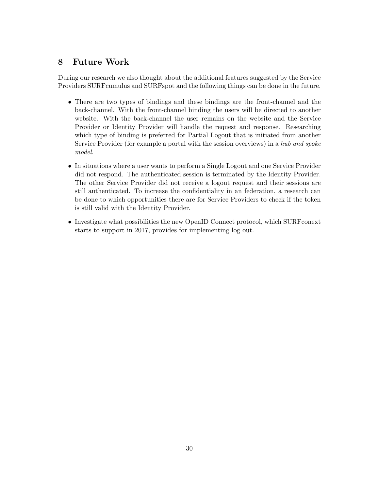## <span id="page-29-0"></span>8 Future Work

During our research we also thought about the additional features suggested by the Service Providers SURFcumulus and SURFspot and the following things can be done in the future.

- There are two types of bindings and these bindings are the front-channel and the back-channel. With the front-channel binding the users will be directed to another website. With the back-channel the user remains on the website and the Service Provider or Identity Provider will handle the request and response. Researching which type of binding is preferred for Partial Logout that is initiated from another Service Provider (for example a portal with the session overviews) in a hub and spoke model.
- In situations where a user wants to perform a Single Logout and one Service Provider did not respond. The authenticated session is terminated by the Identity Provider. The other Service Provider did not receive a logout request and their sessions are still authenticated. To increase the confidentiality in an federation, a research can be done to which opportunities there are for Service Providers to check if the token is still valid with the Identity Provider.
- Investigate what possibilities the new OpenID Connect protocol, which SURFconext starts to support in 2017, provides for implementing log out.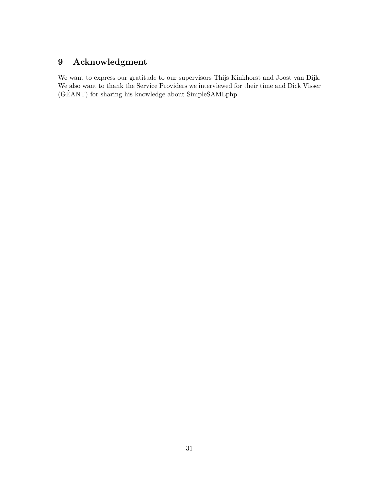# <span id="page-30-0"></span>9 Acknowledgment

We want to express our gratitude to our supervisors Thijs Kinkhorst and Joost van Dijk. We also want to thank the Service Providers we interviewed for their time and Dick Visser (GÉANT) for sharing his knowledge about SimpleSAMLphp.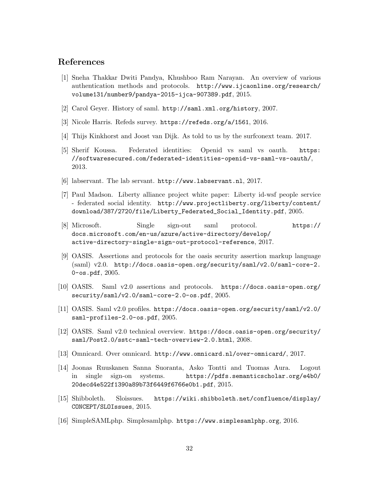## References

- <span id="page-31-0"></span>[1] Sneha Thakkar Dwiti Pandya, Khushboo Ram Narayan. An overview of various authentication methods and protocols. [http://www.ijcaonline.org/research/](http://www.ijcaonline.org/research/volume131/number9/pandya-2015-ijca-907389.pdf) [volume131/number9/pandya-2015-ijca-907389.pdf](http://www.ijcaonline.org/research/volume131/number9/pandya-2015-ijca-907389.pdf), 2015.
- <span id="page-31-4"></span>[2] Carol Geyer. History of saml. <http://saml.xml.org/history>, 2007.
- <span id="page-31-3"></span>[3] Nicole Harris. Refeds survey. <https://refeds.org/a/1561>, 2016.
- <span id="page-31-7"></span>[4] Thijs Kinkhorst and Joost van Dijk. As told to us by the surfconext team. 2017.
- <span id="page-31-2"></span>[5] Sherif Koussa. Federated identities: Openid vs saml vs oauth. [https:](https://softwaresecured.com/federated-identities-openid-vs-saml-vs-oauth/) [//softwaresecured.com/federated-identities-openid-vs-saml-vs-oauth/](https://softwaresecured.com/federated-identities-openid-vs-saml-vs-oauth/), 2013.
- <span id="page-31-12"></span>[6] labservant. The lab servant. <http://www.labservant.nl>, 2017.
- <span id="page-31-1"></span>[7] Paul Madson. Liberty alliance project white paper: Liberty id-wsf people service - federated social identity. [http://www.projectliberty.org/liberty/content/](http://www.projectliberty.org/liberty/content/download/387/2720/file/Liberty_Federated_Social_Identity.pdf) [download/387/2720/file/Liberty\\_Federated\\_Social\\_Identity.pdf](http://www.projectliberty.org/liberty/content/download/387/2720/file/Liberty_Federated_Social_Identity.pdf), 2005.
- <span id="page-31-15"></span>[8] Microsoft. Single sign-out saml protocol. [https://](https://docs.microsoft.com/en-us/azure/active-directory/develop/active-directory-single-sign-out-protocol-reference) [docs.microsoft.com/en-us/azure/active-directory/develop/](https://docs.microsoft.com/en-us/azure/active-directory/develop/active-directory-single-sign-out-protocol-reference) [active-directory-single-sign-out-protocol-reference](https://docs.microsoft.com/en-us/azure/active-directory/develop/active-directory-single-sign-out-protocol-reference), 2017.
- <span id="page-31-5"></span>[9] OASIS. Assertions and protocols for the oasis security assertion markup language (saml) v2.0. [http://docs.oasis-open.org/security/saml/v2.0/saml-core-2.](http://docs.oasis-open.org/security/saml/v2.0/saml-core-2.0-os.pdf) [0-os.pdf](http://docs.oasis-open.org/security/saml/v2.0/saml-core-2.0-os.pdf), 2005.
- <span id="page-31-11"></span>[10] OASIS. Saml v2.0 assertions and protocols. [https://docs.oasis-open.org/](https://docs.oasis-open.org/security/saml/v2.0/saml-core-2.0-os.pdf) [security/saml/v2.0/saml-core-2.0-os.pdf](https://docs.oasis-open.org/security/saml/v2.0/saml-core-2.0-os.pdf), 2005.
- <span id="page-31-10"></span>[11] OASIS. Saml v2.0 profiles. [https://docs.oasis-open.org/security/saml/v2.0/](https://docs.oasis-open.org/security/saml/v2.0/saml-profiles-2.0-os.pdf) [saml-profiles-2.0-os.pdf](https://docs.oasis-open.org/security/saml/v2.0/saml-profiles-2.0-os.pdf), 2005.
- <span id="page-31-9"></span>[12] OASIS. Saml v2.0 technical overview. [https://docs.oasis-open.org/security/](https://docs.oasis-open.org/security/saml/Post2.0/sstc-saml-tech-overview-2.0.html) [saml/Post2.0/sstc-saml-tech-overview-2.0.html](https://docs.oasis-open.org/security/saml/Post2.0/sstc-saml-tech-overview-2.0.html), 2008.
- <span id="page-31-13"></span>[13] Omnicard. Over omnicard. <http://www.omnicard.nl/over-omnicard/>, 2017.
- <span id="page-31-6"></span>[14] Joonas Ruuskanen Sanna Suoranta, Asko Tontti and Tuomas Aura. Logout in single sign-on systems. [https://pdfs.semanticscholar.org/e4b0/](https://pdfs.semanticscholar.org/e4b0/20decd4e522f1390a89b73f6449f6766e0b1.pdf) [20decd4e522f1390a89b73f6449f6766e0b1.pdf](https://pdfs.semanticscholar.org/e4b0/20decd4e522f1390a89b73f6449f6766e0b1.pdf), 2015.
- <span id="page-31-8"></span>[15] Shibboleth. Sloissues. [https://wiki.shibboleth.net/confluence/display/](https://wiki.shibboleth.net/confluence/display/CONCEPT/SLOIssues) [CONCEPT/SLOIssues](https://wiki.shibboleth.net/confluence/display/CONCEPT/SLOIssues), 2015.
- <span id="page-31-14"></span>[16] SimpleSAMLphp. Simplesamlphp. <https://www.simplesamlphp.org>, 2016.